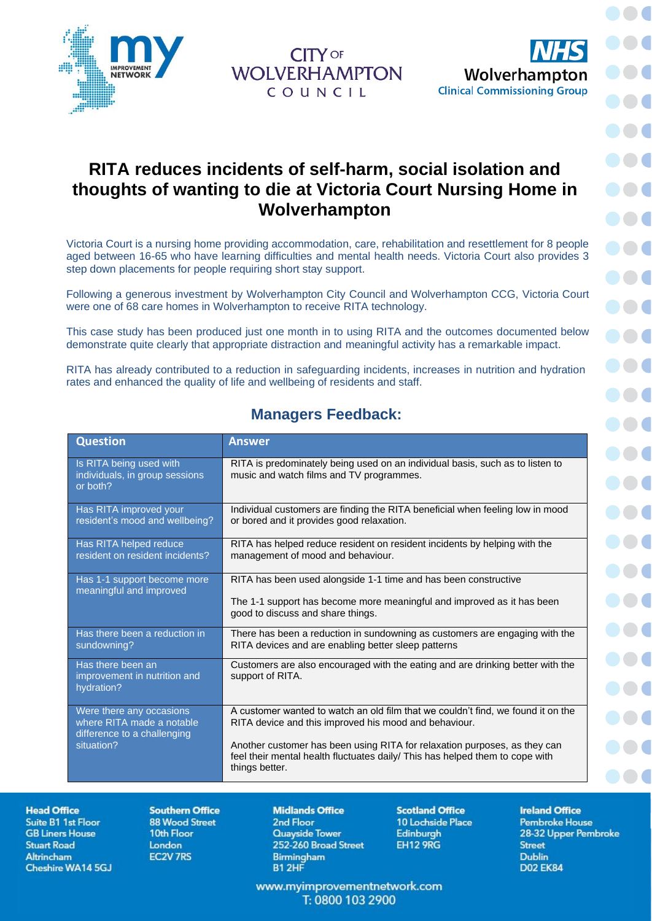



**DOC** 

## **RITA reduces incidents of self-harm, social isolation and thoughts of wanting to die at Victoria Court Nursing Home in Wolverhampton**

**CITY OF WOLVERHAMPTON** 

COUNCIL

Victoria Court is a nursing home providing accommodation, care, rehabilitation and resettlement for 8 people aged between 16-65 who have learning difficulties and mental health needs. Victoria Court also provides 3 step down placements for people requiring short stay support.

Following a generous investment by Wolverhampton City Council and Wolverhampton CCG, Victoria Court were one of 68 care homes in Wolverhampton to receive RITA technology.

This case study has been produced just one month in to using RITA and the outcomes documented below demonstrate quite clearly that appropriate distraction and meaningful activity has a remarkable impact.

RITA has already contributed to a reduction in safeguarding incidents, increases in nutrition and hydration rates and enhanced the quality of life and wellbeing of residents and staff.

| <b>Question</b>                                                                                    | <b>Answer</b>                                                                                                                                                                                                                                                                                                            |
|----------------------------------------------------------------------------------------------------|--------------------------------------------------------------------------------------------------------------------------------------------------------------------------------------------------------------------------------------------------------------------------------------------------------------------------|
| Is RITA being used with<br>individuals, in group sessions<br>or both?                              | RITA is predominately being used on an individual basis, such as to listen to<br>music and watch films and TV programmes.                                                                                                                                                                                                |
| Has RITA improved your<br>resident's mood and wellbeing?                                           | Individual customers are finding the RITA beneficial when feeling low in mood<br>or bored and it provides good relaxation.                                                                                                                                                                                               |
| Has RITA helped reduce<br>resident on resident incidents?                                          | RITA has helped reduce resident on resident incidents by helping with the<br>management of mood and behaviour.                                                                                                                                                                                                           |
| Has 1-1 support become more<br>meaningful and improved                                             | RITA has been used alongside 1-1 time and has been constructive<br>The 1-1 support has become more meaningful and improved as it has been<br>good to discuss and share things.                                                                                                                                           |
| Has there been a reduction in<br>sundowning?                                                       | There has been a reduction in sundowning as customers are engaging with the<br>RITA devices and are enabling better sleep patterns                                                                                                                                                                                       |
| Has there been an<br>improvement in nutrition and<br>hydration?                                    | Customers are also encouraged with the eating and are drinking better with the<br>support of RITA.                                                                                                                                                                                                                       |
| Were there any occasions<br>where RITA made a notable<br>difference to a challenging<br>situation? | A customer wanted to watch an old film that we couldn't find, we found it on the<br>RITA device and this improved his mood and behaviour.<br>Another customer has been using RITA for relaxation purposes, as they can<br>feel their mental health fluctuates daily/ This has helped them to cope with<br>things better. |

## **Managers Feedback:**

**Suite B1 1st Floor GB Liners House Stuart Road** Altrincham Cheshire WA14 5GJ

**Southern Office 88 Wood Street** 10th Floor London **EC2V 7RS** 

**Midlands Office** 2nd Floor **Quayside Tower** 252-260 Broad Street Birmingham **B1 2HF** 

**Scotland Office** 10 Lochside Place Edinburgh **EH12 9RG** 

**Ireland Office Pembroke House** 28-32 Upper Pembroke **Street Dublin D02 EK84** 

www.myimprovementnetwork.com T: 0800 103 2900